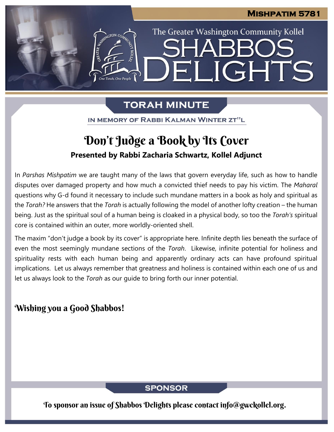The Greater Washington Community Kollel

LIGHTS

# **TORAH MINUTE**

EI

IN MEMORY OF RABBI KALMAN WINTER ZT"L

# **Presented by Rabbi Zacharia Schwartz, Kollel Adjunct** Don't Judge a Book by Its Cover

In *Parshas Mishpatim* we are taught many of the laws that govern everyday life, such as how to handle disputes over damaged property and how much a convicted thief needs to pay his victim. The *Maharal* questions why G-d found it necessary to include such mundane matters in a book as holy and spiritual as the *Torah?* He answers that the *Torah* is actually following the model of another lofty creation – the human being. Just as the spiritual soul of a human being is cloaked in a physical body, so too the *Torah's* spiritual core is contained within an outer, more worldly-oriented shell.

The maxim "don't judge a book by its cover" is appropriate here. Infinite depth lies beneath the surface of even the most seemingly mundane sections of the *Torah*. Likewise, infinite potential for holiness and spirituality rests with each human being and apparently ordinary acts can have profound spiritual implications. Let us always remember that greatness and holiness is contained within each one of us and let us always look to the *Torah* as our guide to bring forth our inner potential.

## Wishing you a Good Shabbos!

### **SPONSOR**

To sponsor an issue of Shabbos Delights please contact info@gwckollel.org.